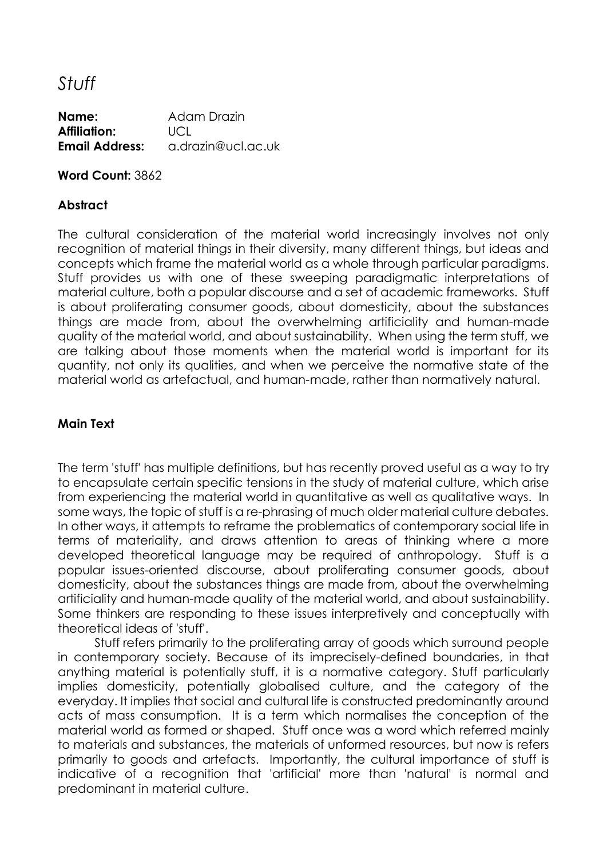*Stuff*

**Name:** Adam Drazin **Affiliation:** UCL **Email Address:** a.drazin@ucl.ac.uk

**Word Count:** 3862

# **Abstract**

The cultural consideration of the material world increasingly involves not only recognition of material things in their diversity, many different things, but ideas and concepts which frame the material world as a whole through particular paradigms. Stuff provides us with one of these sweeping paradigmatic interpretations of material culture, both a popular discourse and a set of academic frameworks. Stuff is about proliferating consumer goods, about domesticity, about the substances things are made from, about the overwhelming artificiality and human-made quality of the material world, and about sustainability. When using the term stuff, we are talking about those moments when the material world is important for its quantity, not only its qualities, and when we perceive the normative state of the material world as artefactual, and human-made, rather than normatively natural.

# **Main Text**

The term 'stuff' has multiple definitions, but has recently proved useful as a way to try to encapsulate certain specific tensions in the study of material culture, which arise from experiencing the material world in quantitative as well as qualitative ways. In some ways, the topic of stuff is a re-phrasing of much older material culture debates. In other ways, it attempts to reframe the problematics of contemporary social life in terms of materiality, and draws attention to areas of thinking where a more developed theoretical language may be required of anthropology. Stuff is a popular issues-oriented discourse, about proliferating consumer goods, about domesticity, about the substances things are made from, about the overwhelming artificiality and human-made quality of the material world, and about sustainability. Some thinkers are responding to these issues interpretively and conceptually with theoretical ideas of 'stuff'.

Stuff refers primarily to the proliferating array of goods which surround people in contemporary society. Because of its imprecisely-defined boundaries, in that anything material is potentially stuff, it is a normative category. Stuff particularly implies domesticity, potentially globalised culture, and the category of the everyday. It implies that social and cultural life is constructed predominantly around acts of mass consumption. It is a term which normalises the conception of the material world as formed or shaped. Stuff once was a word which referred mainly to materials and substances, the materials of unformed resources, but now is refers primarily to goods and artefacts. Importantly, the cultural importance of stuff is indicative of a recognition that 'artificial' more than 'natural' is normal and predominant in material culture.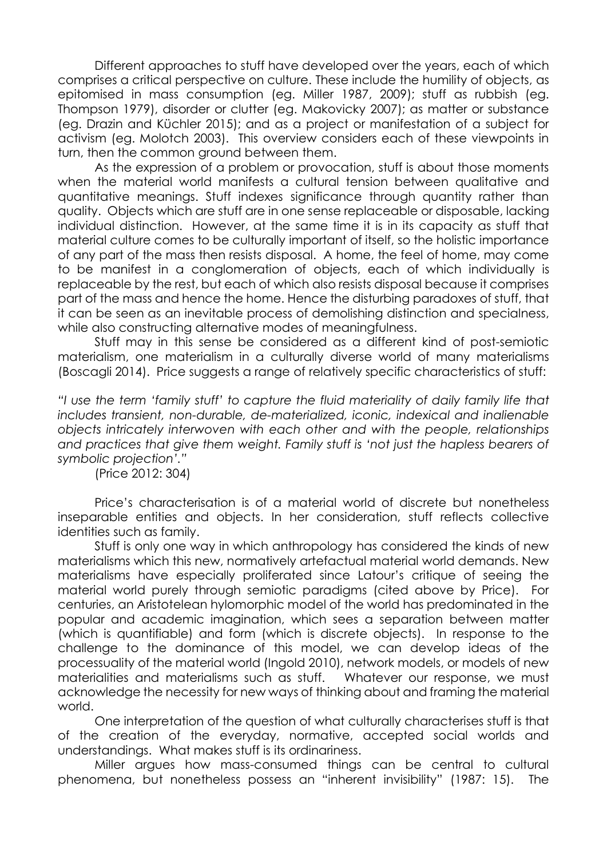Different approaches to stuff have developed over the years, each of which comprises a critical perspective on culture. These include the humility of objects, as epitomised in mass consumption (eg. Miller 1987, 2009); stuff as rubbish (eg. Thompson 1979), disorder or clutter (eg. Makovicky 2007); as matter or substance (eg. Drazin and Küchler 2015); and as a project or manifestation of a subject for activism (eg. Molotch 2003). This overview considers each of these viewpoints in turn, then the common ground between them.

As the expression of a problem or provocation, stuff is about those moments when the material world manifests a cultural tension between qualitative and quantitative meanings. Stuff indexes significance through quantity rather than quality. Objects which are stuff are in one sense replaceable or disposable, lacking individual distinction. However, at the same time it is in its capacity as stuff that material culture comes to be culturally important of itself, so the holistic importance of any part of the mass then resists disposal. A home, the feel of home, may come to be manifest in a conglomeration of objects, each of which individually is replaceable by the rest, but each of which also resists disposal because it comprises part of the mass and hence the home. Hence the disturbing paradoxes of stuff, that it can be seen as an inevitable process of demolishing distinction and specialness, while also constructing alternative modes of meaningfulness.

Stuff may in this sense be considered as a different kind of post-semiotic materialism, one materialism in a culturally diverse world of many materialisms (Boscagli 2014). Price suggests a range of relatively specific characteristics of stuff:

*"I use the term 'family stuff' to capture the fluid materiality of daily family life that includes transient, non-durable, de-materialized, iconic, indexical and inalienable objects intricately interwoven with each other and with the people, relationships and practices that give them weight. Family stuff is 'not just the hapless bearers of symbolic projection'."*

(Price 2012: 304)

Price's characterisation is of a material world of discrete but nonetheless inseparable entities and objects. In her consideration, stuff reflects collective identities such as family.

Stuff is only one way in which anthropology has considered the kinds of new materialisms which this new, normatively artefactual material world demands. New materialisms have especially proliferated since Latour's critique of seeing the material world purely through semiotic paradigms (cited above by Price). For centuries, an Aristotelean hylomorphic model of the world has predominated in the popular and academic imagination, which sees a separation between matter (which is quantifiable) and form (which is discrete objects). In response to the challenge to the dominance of this model, we can develop ideas of the processuality of the material world (Ingold 2010), network models, or models of new materialities and materialisms such as stuff. Whatever our response, we must acknowledge the necessity for new ways of thinking about and framing the material world.

One interpretation of the question of what culturally characterises stuff is that of the creation of the everyday, normative, accepted social worlds and understandings. What makes stuff is its ordinariness.

Miller argues how mass-consumed things can be central to cultural phenomena, but nonetheless possess an "inherent invisibility" (1987: 15). The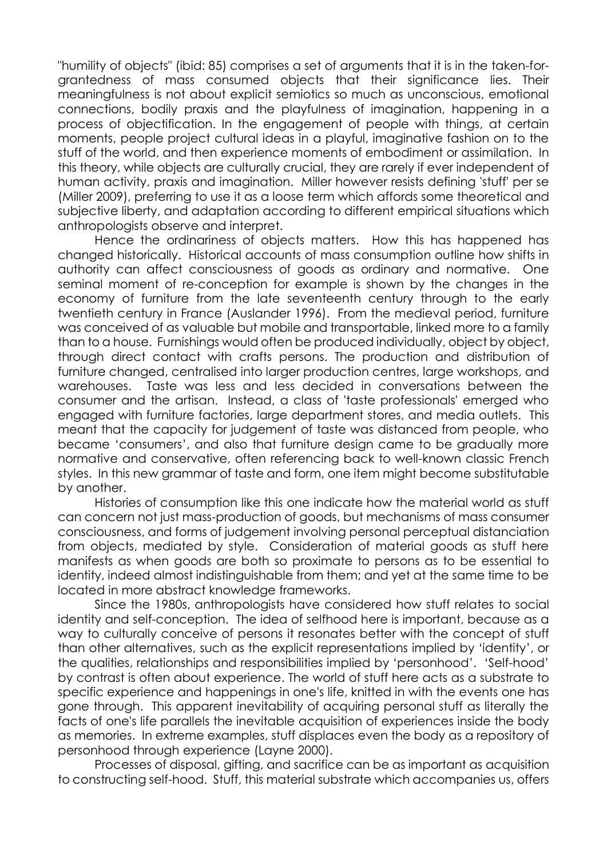"humility of objects" (ibid: 85) comprises a set of arguments that it is in the taken-forgrantedness of mass consumed objects that their significance lies. Their meaningfulness is not about explicit semiotics so much as unconscious, emotional connections, bodily praxis and the playfulness of imagination, happening in a process of objectification. In the engagement of people with things, at certain moments, people project cultural ideas in a playful, imaginative fashion on to the stuff of the world, and then experience moments of embodiment or assimilation. In this theory, while objects are culturally crucial, they are rarely if ever independent of human activity, praxis and imagination. Miller however resists defining 'stuff' per se (Miller 2009), preferring to use it as a loose term which affords some theoretical and subjective liberty, and adaptation according to different empirical situations which anthropologists observe and interpret.

Hence the ordinariness of objects matters. How this has happened has changed historically. Historical accounts of mass consumption outline how shifts in authority can affect consciousness of goods as ordinary and normative. One seminal moment of re-conception for example is shown by the changes in the economy of furniture from the late seventeenth century through to the early twentieth century in France (Auslander 1996). From the medieval period, furniture was conceived of as valuable but mobile and transportable, linked more to a family than to a house. Furnishings would often be produced individually, object by object, through direct contact with crafts persons. The production and distribution of furniture changed, centralised into larger production centres, large workshops, and warehouses. Taste was less and less decided in conversations between the consumer and the artisan. Instead, a class of 'taste professionals' emerged who engaged with furniture factories, large department stores, and media outlets. This meant that the capacity for judgement of taste was distanced from people, who became 'consumers', and also that furniture design came to be gradually more normative and conservative, often referencing back to well-known classic French styles. In this new grammar of taste and form, one item might become substitutable by another.

Histories of consumption like this one indicate how the material world as stuff can concern not just mass-production of goods, but mechanisms of mass consumer consciousness, and forms of judgement involving personal perceptual distanciation from objects, mediated by style. Consideration of material goods as stuff here manifests as when goods are both so proximate to persons as to be essential to identity, indeed almost indistinguishable from them; and yet at the same time to be located in more abstract knowledge frameworks.

Since the 1980s, anthropologists have considered how stuff relates to social identity and self-conception. The idea of selfhood here is important, because as a way to culturally conceive of persons it resonates better with the concept of stuff than other alternatives, such as the explicit representations implied by 'identity', or the qualities, relationships and responsibilities implied by 'personhood'. 'Self-hood' by contrast is often about experience. The world of stuff here acts as a substrate to specific experience and happenings in one's life, knitted in with the events one has gone through. This apparent inevitability of acquiring personal stuff as literally the facts of one's life parallels the inevitable acquisition of experiences inside the body as memories. In extreme examples, stuff displaces even the body as a repository of personhood through experience (Layne 2000).

Processes of disposal, gifting, and sacrifice can be as important as acquisition to constructing self-hood. Stuff, this material substrate which accompanies us, offers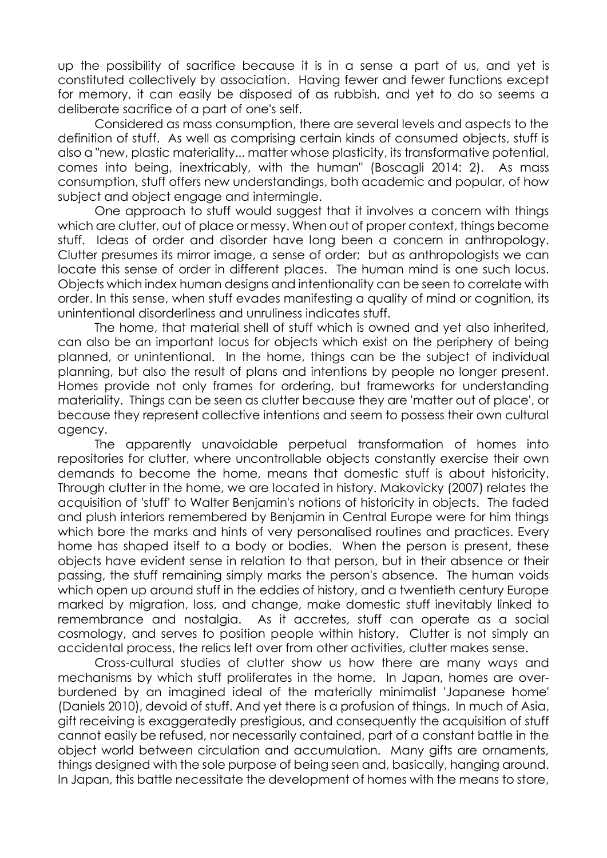up the possibility of sacrifice because it is in a sense a part of us, and yet is constituted collectively by association. Having fewer and fewer functions except for memory, it can easily be disposed of as rubbish, and yet to do so seems a deliberate sacrifice of a part of one's self.

Considered as mass consumption, there are several levels and aspects to the definition of stuff. As well as comprising certain kinds of consumed objects, stuff is also a "new, plastic materiality... matter whose plasticity, its transformative potential, comes into being, inextricably, with the human" (Boscagli 2014: 2). As mass consumption, stuff offers new understandings, both academic and popular, of how subject and object engage and intermingle.

One approach to stuff would suggest that it involves a concern with things which are clutter, out of place or messy. When out of proper context, things become stuff. Ideas of order and disorder have long been a concern in anthropology. Clutter presumes its mirror image, a sense of order; but as anthropologists we can locate this sense of order in different places. The human mind is one such locus. Objects which index human designs and intentionality can be seen to correlate with order. In this sense, when stuff evades manifesting a quality of mind or cognition, its unintentional disorderliness and unruliness indicates stuff.

The home, that material shell of stuff which is owned and yet also inherited, can also be an important locus for objects which exist on the periphery of being planned, or unintentional. In the home, things can be the subject of individual planning, but also the result of plans and intentions by people no longer present. Homes provide not only frames for ordering, but frameworks for understanding materiality. Things can be seen as clutter because they are 'matter out of place', or because they represent collective intentions and seem to possess their own cultural agency.

The apparently unavoidable perpetual transformation of homes into repositories for clutter, where uncontrollable objects constantly exercise their own demands to become the home, means that domestic stuff is about historicity. Through clutter in the home, we are located in history. Makovicky (2007) relates the acquisition of 'stuff' to Walter Benjamin's notions of historicity in objects. The faded and plush interiors remembered by Benjamin in Central Europe were for him things which bore the marks and hints of very personalised routines and practices. Every home has shaped itself to a body or bodies. When the person is present, these objects have evident sense in relation to that person, but in their absence or their passing, the stuff remaining simply marks the person's absence. The human voids which open up around stuff in the eddies of history, and a twentieth century Europe marked by migration, loss, and change, make domestic stuff inevitably linked to remembrance and nostalgia. As it accretes, stuff can operate as a social cosmology, and serves to position people within history. Clutter is not simply an accidental process, the relics left over from other activities, clutter makes sense.

Cross-cultural studies of clutter show us how there are many ways and mechanisms by which stuff proliferates in the home. In Japan, homes are overburdened by an imagined ideal of the materially minimalist 'Japanese home' (Daniels 2010), devoid of stuff. And yet there is a profusion of things. In much of Asia, gift receiving is exaggeratedly prestigious, and consequently the acquisition of stuff cannot easily be refused, nor necessarily contained, part of a constant battle in the object world between circulation and accumulation. Many gifts are ornaments, things designed with the sole purpose of being seen and, basically, hanging around. In Japan, this battle necessitate the development of homes with the means to store,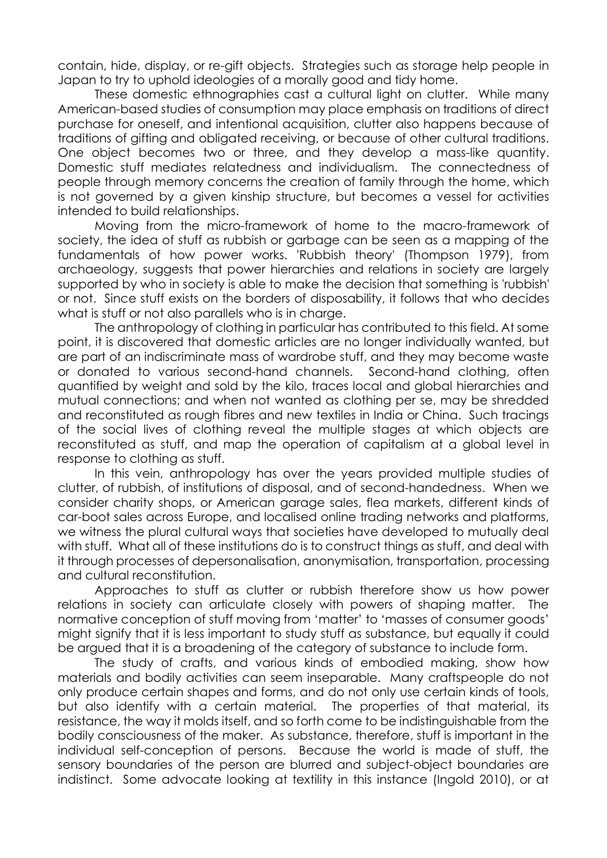contain, hide, display, or re-gift objects. Strategies such as storage help people in Japan to try to uphold ideologies of a morally good and tidy home.

These domestic ethnographies cast a cultural light on clutter. While many American-based studies of consumption may place emphasis on traditions of direct purchase for oneself, and intentional acquisition, clutter also happens because of traditions of gifting and obligated receiving, or because of other cultural traditions. One object becomes two or three, and they develop a mass-like quantity. Domestic stuff mediates relatedness and individualism. The connectedness of people through memory concerns the creation of family through the home, which is not governed by a given kinship structure, but becomes a vessel for activities intended to build relationships.

Moving from the micro-framework of home to the macro-framework of society, the idea of stuff as rubbish or garbage can be seen as a mapping of the fundamentals of how power works. 'Rubbish theory' (Thompson 1979), from archaeology, suggests that power hierarchies and relations in society are largely supported by who in society is able to make the decision that something is 'rubbish' or not. Since stuff exists on the borders of disposability, it follows that who decides what is stuff or not also parallels who is in charge.

The anthropology of clothing in particular has contributed to this field. At some point, it is discovered that domestic articles are no longer individually wanted, but are part of an indiscriminate mass of wardrobe stuff, and they may become waste or donated to various second-hand channels. Second-hand clothing, often quantified by weight and sold by the kilo, traces local and global hierarchies and mutual connections; and when not wanted as clothing per se, may be shredded and reconstituted as rough fibres and new textiles in India or China. Such tracings of the social lives of clothing reveal the multiple stages at which objects are reconstituted as stuff, and map the operation of capitalism at a global level in response to clothing as stuff.

In this vein, anthropology has over the years provided multiple studies of clutter, of rubbish, of institutions of disposal, and of second-handedness. When we consider charity shops, or American garage sales, flea markets, different kinds of car-boot sales across Europe, and localised online trading networks and platforms, we witness the plural cultural ways that societies have developed to mutually deal with stuff. What all of these institutions do is to construct things as stuff, and deal with it through processes of depersonalisation, anonymisation, transportation, processing and cultural reconstitution.

Approaches to stuff as clutter or rubbish therefore show us how power relations in society can articulate closely with powers of shaping matter. The normative conception of stuff moving from 'matter' to 'masses of consumer goods' might signify that it is less important to study stuff as substance, but equally it could be argued that it is a broadening of the category of substance to include form.

The study of crafts, and various kinds of embodied making, show how materials and bodily activities can seem inseparable. Many craftspeople do not only produce certain shapes and forms, and do not only use certain kinds of tools, but also identify with a certain material. The properties of that material, its resistance, the way it molds itself, and so forth come to be indistinguishable from the bodily consciousness of the maker. As substance, therefore, stuff is important in the individual self-conception of persons. Because the world is made of stuff, the sensory boundaries of the person are blurred and subject-object boundaries are indistinct. Some advocate looking at textility in this instance (Ingold 2010), or at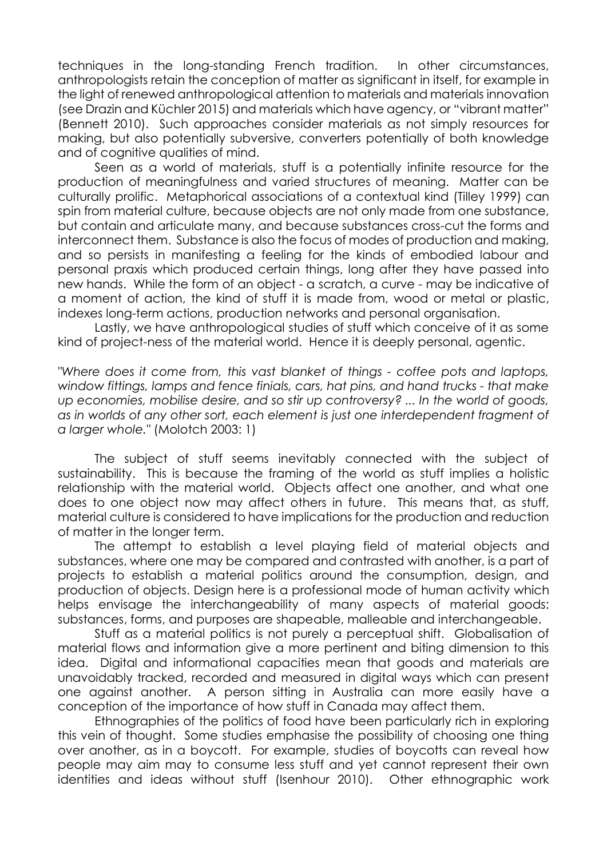techniques in the long-standing French tradition. In other circumstances, anthropologists retain the conception of matter as significant in itself, for example in the light of renewed anthropological attention to materials and materials innovation (see Drazin and Küchler 2015) and materials which have agency, or "vibrant matter" (Bennett 2010). Such approaches consider materials as not simply resources for making, but also potentially subversive, converters potentially of both knowledge and of cognitive qualities of mind.

Seen as a world of materials, stuff is a potentially infinite resource for the production of meaningfulness and varied structures of meaning. Matter can be culturally prolific. Metaphorical associations of a contextual kind (Tilley 1999) can spin from material culture, because objects are not only made from one substance, but contain and articulate many, and because substances cross-cut the forms and interconnect them. Substance is also the focus of modes of production and making, and so persists in manifesting a feeling for the kinds of embodied labour and personal praxis which produced certain things, long after they have passed into new hands. While the form of an object - a scratch, a curve - may be indicative of a moment of action, the kind of stuff it is made from, wood or metal or plastic, indexes long-term actions, production networks and personal organisation.

Lastly, we have anthropological studies of stuff which conceive of it as some kind of project-ness of the material world. Hence it is deeply personal, agentic.

*"Where does it come from, this vast blanket of things - coffee pots and laptops, window fittings, lamps and fence finials, cars, hat pins, and hand trucks - that make up economies, mobilise desire, and so stir up controversy? ... In the world of goods, as in worlds of any other sort, each element is just one interdependent fragment of a larger whole."* (Molotch 2003: 1)

The subject of stuff seems inevitably connected with the subject of sustainability. This is because the framing of the world as stuff implies a holistic relationship with the material world. Objects affect one another, and what one does to one object now may affect others in future. This means that, as stuff, material culture is considered to have implications for the production and reduction of matter in the longer term.

The attempt to establish a level playing field of material objects and substances, where one may be compared and contrasted with another, is a part of projects to establish a material politics around the consumption, design, and production of objects. Design here is a professional mode of human activity which helps envisage the interchangeability of many aspects of material goods: substances, forms, and purposes are shapeable, malleable and interchangeable.

Stuff as a material politics is not purely a perceptual shift. Globalisation of material flows and information give a more pertinent and biting dimension to this idea. Digital and informational capacities mean that goods and materials are unavoidably tracked, recorded and measured in digital ways which can present one against another. A person sitting in Australia can more easily have a conception of the importance of how stuff in Canada may affect them.

Ethnographies of the politics of food have been particularly rich in exploring this vein of thought. Some studies emphasise the possibility of choosing one thing over another, as in a boycott. For example, studies of boycotts can reveal how people may aim may to consume less stuff and yet cannot represent their own identities and ideas without stuff (Isenhour 2010). Other ethnographic work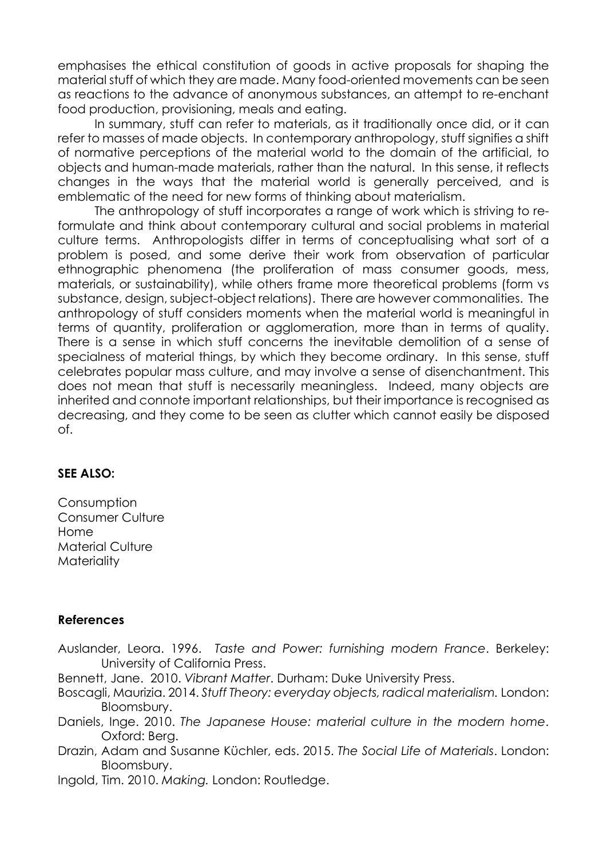emphasises the ethical constitution of goods in active proposals for shaping the material stuff of which they are made. Many food-oriented movements can be seen as reactions to the advance of anonymous substances, an attempt to re-enchant food production, provisioning, meals and eating.

In summary, stuff can refer to materials, as it traditionally once did, or it can refer to masses of made objects. In contemporary anthropology, stuff signifies a shift of normative perceptions of the material world to the domain of the artificial, to objects and human-made materials, rather than the natural. In this sense, it reflects changes in the ways that the material world is generally perceived, and is emblematic of the need for new forms of thinking about materialism.

The anthropology of stuff incorporates a range of work which is striving to reformulate and think about contemporary cultural and social problems in material culture terms. Anthropologists differ in terms of conceptualising what sort of a problem is posed, and some derive their work from observation of particular ethnographic phenomena (the proliferation of mass consumer goods, mess, materials, or sustainability), while others frame more theoretical problems (form vs substance, design, subject-object relations). There are however commonalities. The anthropology of stuff considers moments when the material world is meaningful in terms of quantity, proliferation or agglomeration, more than in terms of quality. There is a sense in which stuff concerns the inevitable demolition of a sense of specialness of material things, by which they become ordinary. In this sense, stuff celebrates popular mass culture, and may involve a sense of disenchantment. This does not mean that stuff is necessarily meaningless. Indeed, many objects are inherited and connote important relationships, but their importance is recognised as decreasing, and they come to be seen as clutter which cannot easily be disposed of.

### **SEE ALSO:**

**Consumption** Consumer Culture Home Material Culture **Materiality** 

### **References**

Auslander, Leora. 1996. *Taste and Power: furnishing modern France*. Berkeley: University of California Press.

Bennett, Jane. 2010. *Vibrant Matter*. Durham: Duke University Press.

Boscagli, Maurizia. 2014. *Stuff Theory: everyday objects, radical materialism.* London: Bloomsbury.

Daniels, Inge. 2010. *The Japanese House: material culture in the modern home*. Oxford: Berg.

Drazin, Adam and Susanne Küchler, eds. 2015. *The Social Life of Materials*. London: Bloomsbury.

Ingold, Tim. 2010. *Making.* London: Routledge.